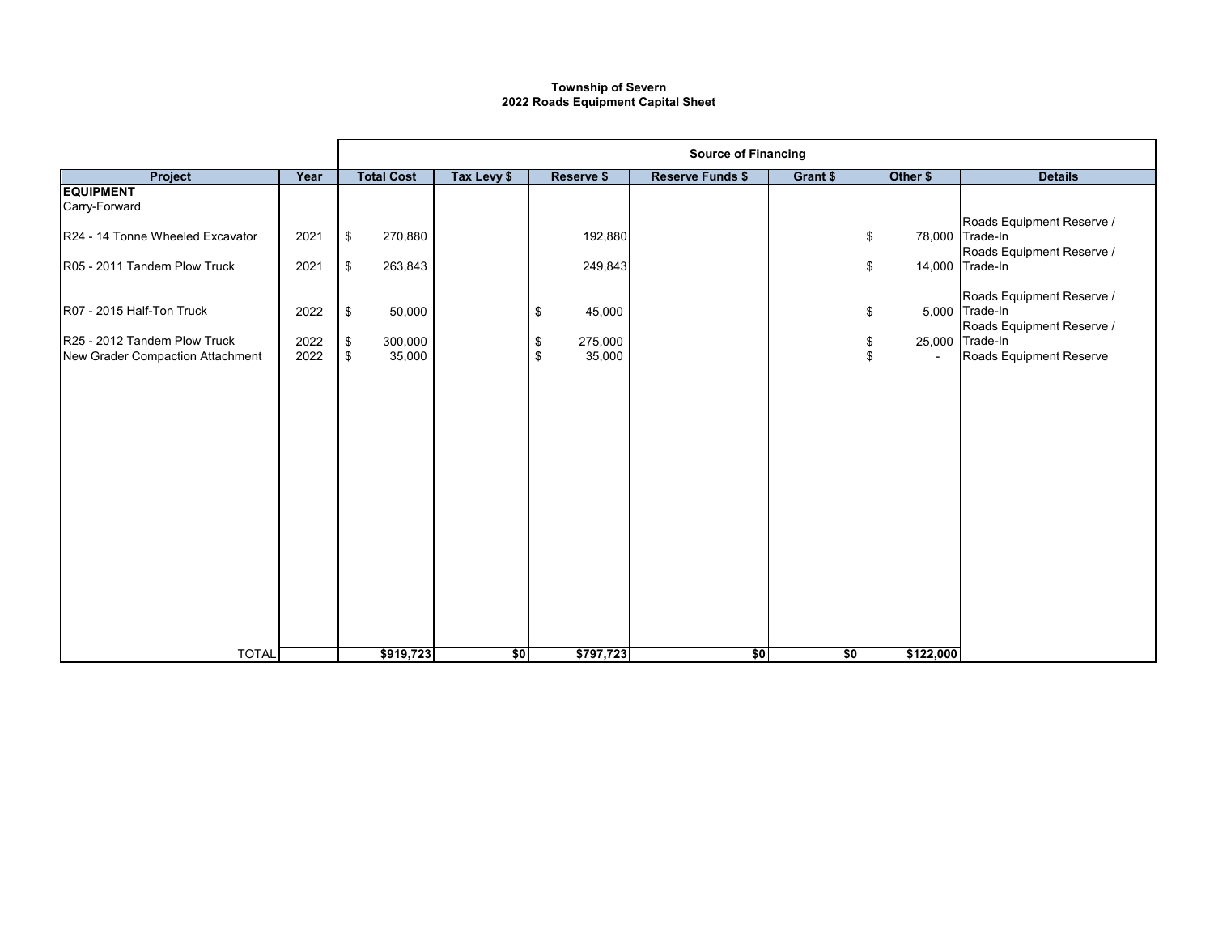## **2022 Roads Equipment Capital Sheet Township of Severn**

|                                                                  |              | <b>Source of Financing</b>                |             |                               |                         |          |           |                                                                           |  |
|------------------------------------------------------------------|--------------|-------------------------------------------|-------------|-------------------------------|-------------------------|----------|-----------|---------------------------------------------------------------------------|--|
| Project                                                          | Year         | <b>Total Cost</b>                         | Tax Levy \$ | Reserve \$                    | <b>Reserve Funds \$</b> | Grant \$ | Other \$  | <b>Details</b>                                                            |  |
| <b>EQUIPMENT</b><br>Carry-Forward                                |              |                                           |             |                               |                         |          |           |                                                                           |  |
| R24 - 14 Tonne Wheeled Excavator                                 | 2021         | \$<br>270,880                             |             | 192,880                       |                         |          | \$        | Roads Equipment Reserve /<br>78,000 Trade-In<br>Roads Equipment Reserve / |  |
| R05 - 2011 Tandem Plow Truck                                     | 2021         | \$<br>263,843                             |             | 249,843                       |                         |          | \$        | 14,000 Trade-In                                                           |  |
| R07 - 2015 Half-Ton Truck                                        | 2022         | \$<br>50,000                              |             | 45,000<br>\$                  |                         |          | \$        | Roads Equipment Reserve /<br>5,000 Trade-In<br>Roads Equipment Reserve /  |  |
| R25 - 2012 Tandem Plow Truck<br>New Grader Compaction Attachment | 2022<br>2022 | \$<br>300,000<br>$$\mathbb{S}$$<br>35,000 |             | 275,000<br>\$<br>\$<br>35,000 |                         |          | \$<br>\$  | 25,000 Trade-In<br>Roads Equipment Reserve                                |  |
|                                                                  |              |                                           |             |                               |                         |          |           |                                                                           |  |
| <b>TOTAL</b>                                                     |              | \$919,723                                 | \$0         | \$797,723                     | \$0                     | \$0      | \$122,000 |                                                                           |  |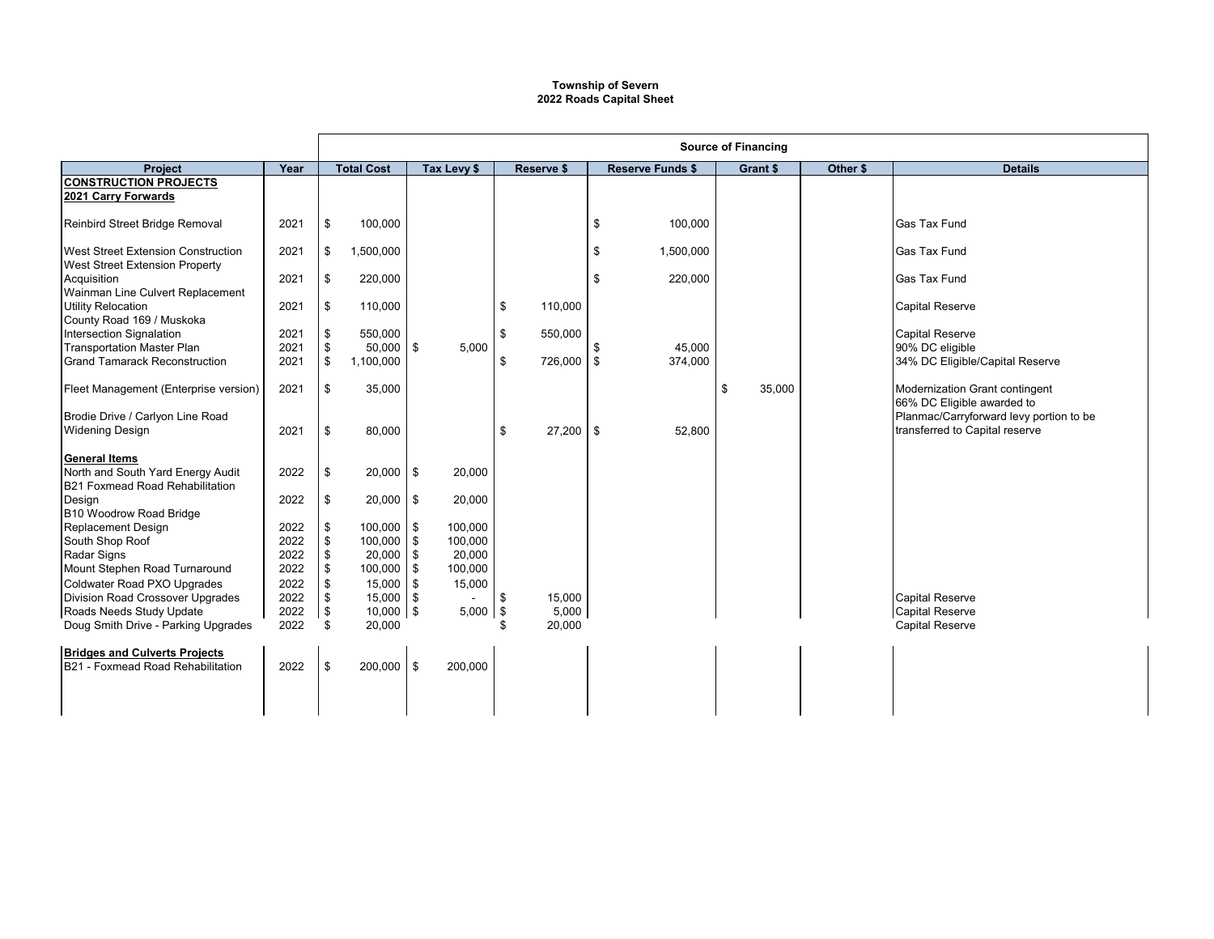## **Township of Severn 2022 Roads Capital Sheet**

|                                                                      |              | <b>Source of Financing</b> |                   |             |    |             |    |                         |    |          |          |                                         |
|----------------------------------------------------------------------|--------------|----------------------------|-------------------|-------------|----|-------------|----|-------------------------|----|----------|----------|-----------------------------------------|
| <b>Project</b>                                                       | Year         |                            | <b>Total Cost</b> | Tax Levy \$ |    | Reserve \$  |    | <b>Reserve Funds \$</b> |    | Grant \$ | Other \$ | <b>Details</b>                          |
| <b>CONSTRUCTION PROJECTS</b>                                         |              |                            |                   |             |    |             |    |                         |    |          |          |                                         |
| 2021 Carry Forwards                                                  |              |                            |                   |             |    |             |    |                         |    |          |          |                                         |
| Reinbird Street Bridge Removal                                       | 2021         | \$                         | 100,000           |             |    |             | \$ | 100,000                 |    |          |          | <b>Gas Tax Fund</b>                     |
|                                                                      |              |                            |                   |             |    |             |    |                         |    |          |          |                                         |
| <b>West Street Extension Construction</b>                            | 2021         | \$                         | 1,500,000         |             |    |             | \$ | 1,500,000               |    |          |          | <b>Gas Tax Fund</b>                     |
| <b>West Street Extension Property</b>                                |              |                            |                   |             |    |             |    |                         |    |          |          |                                         |
| Acquisition                                                          | 2021         | \$                         | 220,000           |             |    |             | \$ | 220,000                 |    |          |          | <b>Gas Tax Fund</b>                     |
| Wainman Line Culvert Replacement                                     |              |                            |                   |             |    |             |    |                         |    |          |          |                                         |
| <b>Utility Relocation</b>                                            | 2021         | \$                         | 110,000           |             | \$ | 110,000     |    |                         |    |          |          | <b>Capital Reserve</b>                  |
| County Road 169 / Muskoka<br>Intersection Signalation                |              |                            | 550,000           |             | \$ |             |    |                         |    |          |          | <b>Capital Reserve</b>                  |
| <b>Transportation Master Plan</b>                                    | 2021<br>2021 | \$<br>\$                   | $50,000$ \$       | 5,000       |    | 550,000     | \$ | 45,000                  |    |          |          | 90% DC eligible                         |
| <b>Grand Tamarack Reconstruction</b>                                 | 2021         | \$                         | 1,100,000         |             | \$ | 726,000     | \$ | 374,000                 |    |          |          | 34% DC Eligible/Capital Reserve         |
|                                                                      |              |                            |                   |             |    |             |    |                         |    |          |          |                                         |
| Fleet Management (Enterprise version)                                | 2021         | \$                         | 35,000            |             |    |             |    |                         | \$ | 35,000   |          | Modernization Grant contingent          |
|                                                                      |              |                            |                   |             |    |             |    |                         |    |          |          | 66% DC Eligible awarded to              |
| Brodie Drive / Carlyon Line Road                                     |              |                            |                   |             |    |             |    |                         |    |          |          | Planmac/Carryforward levy portion to be |
| <b>Widening Design</b>                                               | 2021         | \$                         | 80,000            |             | \$ | $27,200$ \$ |    | 52,800                  |    |          |          | transferred to Capital reserve          |
|                                                                      |              |                            |                   |             |    |             |    |                         |    |          |          |                                         |
| <b>General Items</b>                                                 |              |                            |                   |             |    |             |    |                         |    |          |          |                                         |
| North and South Yard Energy Audit<br>B21 Foxmead Road Rehabilitation | 2022         | \$                         | $20,000$ \$       | 20,000      |    |             |    |                         |    |          |          |                                         |
| Desian                                                               | 2022         | \$                         | $20,000$ \$       | 20,000      |    |             |    |                         |    |          |          |                                         |
| B10 Woodrow Road Bridge                                              |              |                            |                   |             |    |             |    |                         |    |          |          |                                         |
| Replacement Design                                                   | 2022         | \$                         | $100,000$ \$      | 100,000     |    |             |    |                         |    |          |          |                                         |
| South Shop Roof                                                      | 2022         | \$                         | 100,000 \$        | 100,000     |    |             |    |                         |    |          |          |                                         |
| Radar Signs                                                          | 2022         | \$                         | $20,000$ \$       | 20,000      |    |             |    |                         |    |          |          |                                         |
| Mount Stephen Road Turnaround                                        | 2022         | \$                         | 100,000 \$        | 100,000     |    |             |    |                         |    |          |          |                                         |
| Coldwater Road PXO Upgrades                                          | 2022         | \$                         | $15,000$ \$       | 15,000      |    |             |    |                         |    |          |          |                                         |
| Division Road Crossover Upgrades                                     | 2022         | \$                         | $15,000$ \$       |             | \$ | 15,000      |    |                         |    |          |          | <b>Capital Reserve</b>                  |
| Roads Needs Study Update                                             | 2022         | <b>S</b>                   | $10,000$ \$       | $5,000$ \$  |    | 5,000       |    |                         |    |          |          | <b>Capital Reserve</b>                  |
| Doug Smith Drive - Parking Upgrades                                  | 2022         | \$                         | 20,000            |             |    | 20,000      |    |                         |    |          |          | <b>Capital Reserve</b>                  |
| <b>Bridges and Culverts Projects</b>                                 |              |                            |                   |             |    |             |    |                         |    |          |          |                                         |
| B21 - Foxmead Road Rehabilitation                                    | 2022         | \$                         | 200,000 \$        | 200,000     |    |             |    |                         |    |          |          |                                         |
|                                                                      |              |                            |                   |             |    |             |    |                         |    |          |          |                                         |
|                                                                      |              |                            |                   |             |    |             |    |                         |    |          |          |                                         |
|                                                                      |              |                            |                   |             |    |             |    |                         |    |          |          |                                         |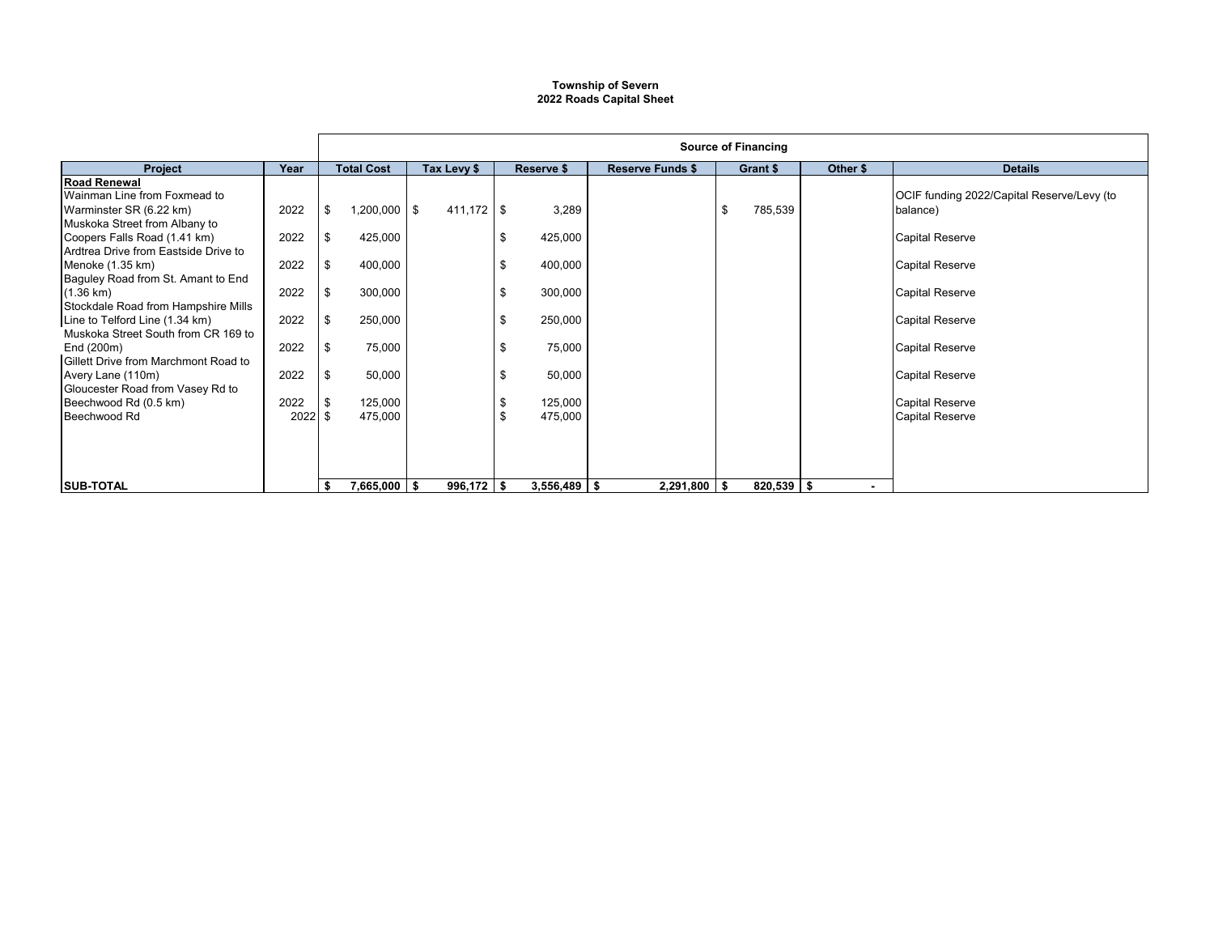## **Township of Severn 2022 Roads Capital Sheet**

|                                                                                                       |              | <b>Source of Financing</b> |              |                        |                         |               |          |                                                        |  |  |
|-------------------------------------------------------------------------------------------------------|--------------|----------------------------|--------------|------------------------|-------------------------|---------------|----------|--------------------------------------------------------|--|--|
| <b>Project</b>                                                                                        | Year         | <b>Total Cost</b>          | Tax Levy \$  | Reserve \$             | <b>Reserve Funds \$</b> | Grant \$      | Other \$ | <b>Details</b>                                         |  |  |
| <b>Road Renewal</b><br>Wainman Line from Foxmead to<br>Warminster SR (6.22 km)                        | 2022         | $1,200,000$ \$<br>-\$      | $411,172$ \$ | 3,289                  |                         | 785,539<br>\$ |          | OCIF funding 2022/Capital Reserve/Levy (to<br>balance) |  |  |
| Muskoka Street from Albany to<br>Coopers Falls Road (1.41 km)<br>Ardtrea Drive from Eastside Drive to | 2022         | 425,000<br>\$              |              | 425,000<br>\$          |                         |               |          | <b>Capital Reserve</b>                                 |  |  |
| Menoke (1.35 km)<br>Baguley Road from St. Amant to End                                                | 2022         | 400,000<br>\$              |              | 400,000<br>\$          |                         |               |          | <b>Capital Reserve</b>                                 |  |  |
| (1.36 km)<br>Stockdale Road from Hampshire Mills                                                      | 2022         | \$<br>300,000              |              | 300,000<br>\$          |                         |               |          | <b>Capital Reserve</b>                                 |  |  |
| Line to Telford Line (1.34 km)<br>Muskoka Street South from CR 169 to                                 | 2022         | 250,000<br>\$              |              | 250,000<br>S           |                         |               |          | <b>Capital Reserve</b>                                 |  |  |
| End (200m)<br>Gillett Drive from Marchmont Road to<br>Avery Lane (110m)                               | 2022<br>2022 | 75,000<br>-\$<br>50,000    |              | 75,000<br>\$<br>50,000 |                         |               |          | <b>Capital Reserve</b><br><b>Capital Reserve</b>       |  |  |
| Gloucester Road from Vasey Rd to<br>Beechwood Rd (0.5 km)                                             | 2022         | 125,000<br>-\$             |              | ა<br>125,000           |                         |               |          | <b>Capital Reserve</b>                                 |  |  |
| Beechwood Rd                                                                                          | $2022$ \$    | 475,000                    |              | 475,000<br>\$          |                         |               |          | <b>Capital Reserve</b>                                 |  |  |
|                                                                                                       |              |                            |              |                        |                         |               |          |                                                        |  |  |
| <b>SUB-TOTAL</b>                                                                                      |              | $7,665,000$ \$<br>\$       | $996,172$ \$ | $3,556,489$ \$         | $2,291,800$ \$          | $820,539$ \$  |          |                                                        |  |  |